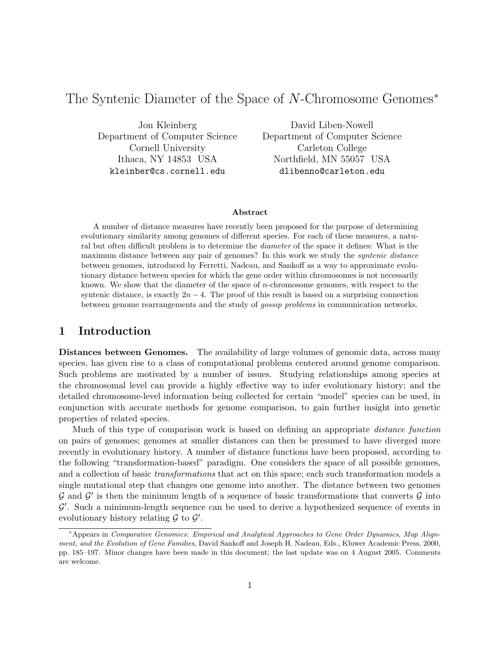# The Syntenic Diameter of the Space of N-Chromosome Genomes<sup>∗</sup>

Jon Kleinberg Department of Computer Science Cornell University Ithaca, NY 14853 USA kleinber@cs.cornell.edu

David Liben-Nowell Department of Computer Science Carleton College Northfield, MN 55057 USA dlibenno@carleton.edu

#### Abstract

A number of distance measures have recently been proposed for the purpose of determining evolutionary similarity among genomes of different species. For each of these measures, a natural but often difficult problem is to determine the diameter of the space it defines: What is the maximum distance between any pair of genomes? In this work we study the *syntenic distance* between genomes, introduced by Ferretti, Nadeau, and Sankoff as a way to approximate evolutionary distance between species for which the gene order within chromosomes is not necessarily known. We show that the diameter of the space of  $n$ -chromosome genomes, with respect to the syntenic distance, is exactly  $2n - 4$ . The proof of this result is based on a surprising connection between genome rearrangements and the study of gossip problems in communication networks.

## 1 Introduction

Distances between Genomes. The availability of large volumes of genomic data, across many species, has given rise to a class of computational problems centered around genome comparison. Such problems are motivated by a number of issues. Studying relationships among species at the chromosomal level can provide a highly effective way to infer evolutionary history; and the detailed chromosome-level information being collected for certain "model" species can be used, in conjunction with accurate methods for genome comparison, to gain further insight into genetic properties of related species.

Much of this type of comparison work is based on defining an appropriate *distance function* on pairs of genomes; genomes at smaller distances can then be presumed to have diverged more recently in evolutionary history. A number of distance functions have been proposed, according to the following "transformation-based" paradigm. One considers the space of all possible genomes, and a collection of basic transformations that act on this space; each such transformation models a single mutational step that changes one genome into another. The distance between two genomes  $\mathcal G$  and  $\mathcal G'$  is then the minimum length of a sequence of basic transformations that converts  $\mathcal G$  into  $\mathcal{G}'$ . Such a minimum-length sequence can be used to derive a hypothesized sequence of events in evolutionary history relating  $\mathcal G$  to  $\mathcal G'$ .

<sup>∗</sup>Appears in Comparative Genomics: Empirical and Analytical Approaches to Gene Order Dynamics, Map Alignment, and the Evolution of Gene Families, David Sankoff and Joseph H. Nadeau, Eds., Kluwer Academic Press, 2000, pp. 185–197. Minor changes have been made in this document; the last update was on 4 August 2005. Comments are welcome.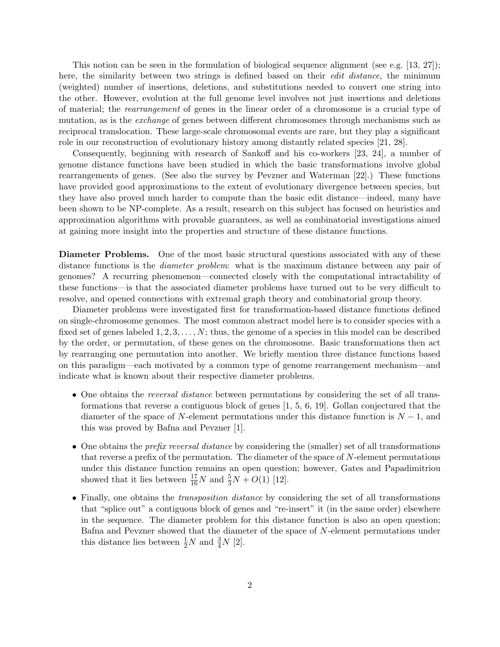This notion can be seen in the formulation of biological sequence alignment (see e.g. [13, 27]); here, the similarity between two strings is defined based on their *edit distance*, the minimum (weighted) number of insertions, deletions, and substitutions needed to convert one string into the other. However, evolution at the full genome level involves not just insertions and deletions of material; the rearrangement of genes in the linear order of a chromosome is a crucial type of mutation, as is the *exchange* of genes between different chromosomes through mechanisms such as reciprocal translocation. These large-scale chromosomal events are rare, but they play a significant role in our reconstruction of evolutionary history among distantly related species [21, 28].

Consequently, beginning with research of Sankoff and his co-workers [23, 24], a number of genome distance functions have been studied in which the basic transformations involve global rearrangements of genes. (See also the survey by Pevzner and Waterman [22].) These functions have provided good approximations to the extent of evolutionary divergence between species, but they have also proved much harder to compute than the basic edit distance—indeed, many have been shown to be NP-complete. As a result, research on this subject has focused on heuristics and approximation algorithms with provable guarantees, as well as combinatorial investigations aimed at gaining more insight into the properties and structure of these distance functions.

Diameter Problems. One of the most basic structural questions associated with any of these distance functions is the *diameter problem*: what is the maximum distance between any pair of genomes? A recurring phenomenon—connected closely with the computational intractability of these functions—is that the associated diameter problems have turned out to be very difficult to resolve, and opened connections with extremal graph theory and combinatorial group theory.

Diameter problems were investigated first for transformation-based distance functions defined on single-chromosome genomes. The most common abstract model here is to consider species with a fixed set of genes labeled  $1, 2, 3, \ldots, N$ ; thus, the genome of a species in this model can be described by the order, or permutation, of these genes on the chromosome. Basic transformations then act by rearranging one permutation into another. We briefly mention three distance functions based on this paradigm—each motivated by a common type of genome rearrangement mechanism—and indicate what is known about their respective diameter problems.

- One obtains the *reversal distance* between permutations by considering the set of all transformations that reverse a contiguous block of genes [1, 5, 6, 19]. Gollan conjectured that the diameter of the space of N-element permutations under this distance function is  $N-1$ , and this was proved by Bafna and Pevzner [1].
- One obtains the *prefix reversal distance* by considering the (smaller) set of all transformations that reverse a prefix of the permutation. The diameter of the space of N-element permutations under this distance function remains an open question; however, Gates and Papadimitriou showed that it lies between  $\frac{17}{16}N$  and  $\frac{5}{3}N+O(1)$  [12].
- Finally, one obtains the *transposition distance* by considering the set of all transformations that "splice out" a contiguous block of genes and "re-insert" it (in the same order) elsewhere in the sequence. The diameter problem for this distance function is also an open question; Bafna and Pevzner showed that the diameter of the space of N-element permutations under this distance lies between  $\frac{1}{2}N$  and  $\frac{3}{4}N$  [2].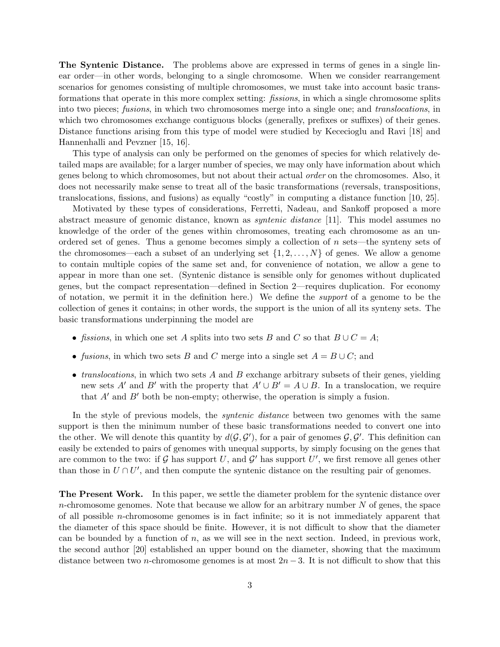The Syntenic Distance. The problems above are expressed in terms of genes in a single linear order—in other words, belonging to a single chromosome. When we consider rearrangement scenarios for genomes consisting of multiple chromosomes, we must take into account basic transformations that operate in this more complex setting: fissions, in which a single chromosome splits into two pieces; fusions, in which two chromosomes merge into a single one; and translocations, in which two chromosomes exchange contiguous blocks (generally, prefixes or suffixes) of their genes. Distance functions arising from this type of model were studied by Kececioglu and Ravi [18] and Hannenhalli and Pevzner [15, 16].

This type of analysis can only be performed on the genomes of species for which relatively detailed maps are available; for a larger number of species, we may only have information about which genes belong to which chromosomes, but not about their actual order on the chromosomes. Also, it does not necessarily make sense to treat all of the basic transformations (reversals, transpositions, translocations, fissions, and fusions) as equally "costly" in computing a distance function [10, 25].

Motivated by these types of considerations, Ferretti, Nadeau, and Sankoff proposed a more abstract measure of genomic distance, known as syntenic distance [11]. This model assumes no knowledge of the order of the genes within chromosomes, treating each chromosome as an unordered set of genes. Thus a genome becomes simply a collection of n sets—the synteny sets of the chromosomes—each a subset of an underlying set  $\{1, 2, \ldots, N\}$  of genes. We allow a genome to contain multiple copies of the same set and, for convenience of notation, we allow a gene to appear in more than one set. (Syntenic distance is sensible only for genomes without duplicated genes, but the compact representation—defined in Section 2—requires duplication. For economy of notation, we permit it in the definition here.) We define the support of a genome to be the collection of genes it contains; in other words, the support is the union of all its synteny sets. The basic transformations underpinning the model are

- fissions, in which one set A splits into two sets B and C so that  $B \cup C = A$ ;
- fusions, in which two sets B and C merge into a single set  $A = B \cup C$ ; and
- *translocations*, in which two sets  $\vec{A}$  and  $\vec{B}$  exchange arbitrary subsets of their genes, yielding new sets A' and B' with the property that  $A' \cup B' = A \cup B$ . In a translocation, we require that  $A'$  and  $B'$  both be non-empty; otherwise, the operation is simply a fusion.

In the style of previous models, the *syntenic distance* between two genomes with the same support is then the minimum number of these basic transformations needed to convert one into the other. We will denote this quantity by  $d(G, G')$ , for a pair of genomes  $G, G'$ . This definition can easily be extended to pairs of genomes with unequal supports, by simply focusing on the genes that are common to the two: if G has support U, and G' has support U', we first remove all genes other than those in  $U \cap U'$ , and then compute the syntenic distance on the resulting pair of genomes.

The Present Work. In this paper, we settle the diameter problem for the syntenic distance over  $n$ -chromosome genomes. Note that because we allow for an arbitrary number  $N$  of genes, the space of all possible n-chromosome genomes is in fact infinite; so it is not immediately apparent that the diameter of this space should be finite. However, it is not difficult to show that the diameter can be bounded by a function of  $n$ , as we will see in the next section. Indeed, in previous work, the second author [20] established an upper bound on the diameter, showing that the maximum distance between two n-chromosome genomes is at most  $2n-3$ . It is not difficult to show that this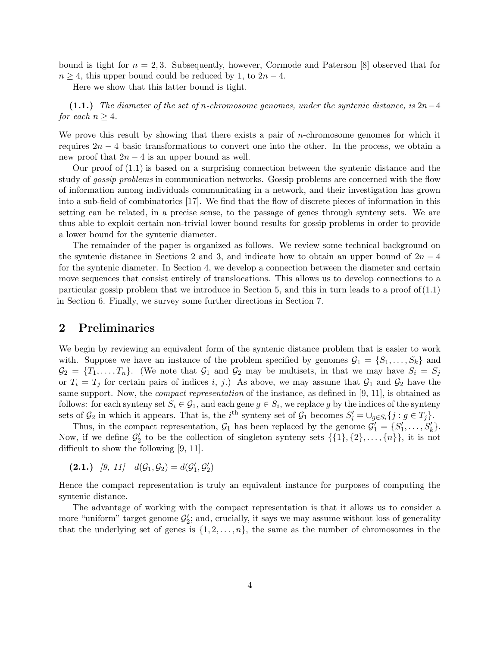bound is tight for  $n = 2, 3$ . Subsequently, however, Cormode and Paterson [8] observed that for  $n \geq 4$ , this upper bound could be reduced by 1, to  $2n - 4$ .

Here we show that this latter bound is tight.

(1.1.) The diameter of the set of n-chromosome genomes, under the syntenic distance, is  $2n-4$ for each  $n \geq 4$ .

We prove this result by showing that there exists a pair of  $n$ -chromosome genomes for which it requires  $2n - 4$  basic transformations to convert one into the other. In the process, we obtain a new proof that  $2n-4$  is an upper bound as well.

Our proof of (1.1) is based on a surprising connection between the syntenic distance and the study of *gossip problems* in communication networks. Gossip problems are concerned with the flow of information among individuals communicating in a network, and their investigation has grown into a sub-field of combinatorics [17]. We find that the flow of discrete pieces of information in this setting can be related, in a precise sense, to the passage of genes through synteny sets. We are thus able to exploit certain non-trivial lower bound results for gossip problems in order to provide a lower bound for the syntenic diameter.

The remainder of the paper is organized as follows. We review some technical background on the syntenic distance in Sections 2 and 3, and indicate how to obtain an upper bound of  $2n-4$ for the syntenic diameter. In Section 4, we develop a connection between the diameter and certain move sequences that consist entirely of translocations. This allows us to develop connections to a particular gossip problem that we introduce in Section 5, and this in turn leads to a proof of  $(1.1)$ in Section 6. Finally, we survey some further directions in Section 7.

#### 2 Preliminaries

We begin by reviewing an equivalent form of the syntenic distance problem that is easier to work with. Suppose we have an instance of the problem specified by genomes  $\mathcal{G}_1 = \{S_1, \ldots, S_k\}$  and  $\mathcal{G}_2 = \{T_1, \ldots, T_n\}.$  (We note that  $\mathcal{G}_1$  and  $\mathcal{G}_2$  may be multisets, in that we may have  $S_i = S_j$ or  $T_i = T_j$  for certain pairs of indices i, j.) As above, we may assume that  $G_1$  and  $G_2$  have the same support. Now, the *compact representation* of the instance, as defined in [9, 11], is obtained as follows: for each synteny set  $S_i \in \mathcal{G}_1$ , and each gene  $g \in S_i$ , we replace g by the indices of the synteny sets of  $\mathcal{G}_2$  in which it appears. That is, the i<sup>th</sup> synteny set of  $\mathcal{G}_1$  becomes  $S_i' = \bigcup_{g \in S_i} \{j : g \in T_j\}.$ 

Thus, in the compact representation,  $\mathcal{G}_1$  has been replaced by the genome  $\mathcal{G}'_1 = \{S'_1, \ldots, S'_k\}.$ Now, if we define  $\mathcal{G}'_2$  to be the collection of singleton synteny sets  $\{\{1\},\{2\},\ldots,\{n\}\}\)$ , it is not difficult to show the following [9, 11].

$$
(2.1.) \quad [9, 11] \quad d(\mathcal{G}_1, \mathcal{G}_2) = d(\mathcal{G}'_1, \mathcal{G}'_2)
$$

Hence the compact representation is truly an equivalent instance for purposes of computing the syntenic distance.

The advantage of working with the compact representation is that it allows us to consider a more "uniform" target genome  $\mathcal{G}'_2$ ; and, crucially, it says we may assume without loss of generality that the underlying set of genes is  $\{1, 2, \ldots, n\}$ , the same as the number of chromosomes in the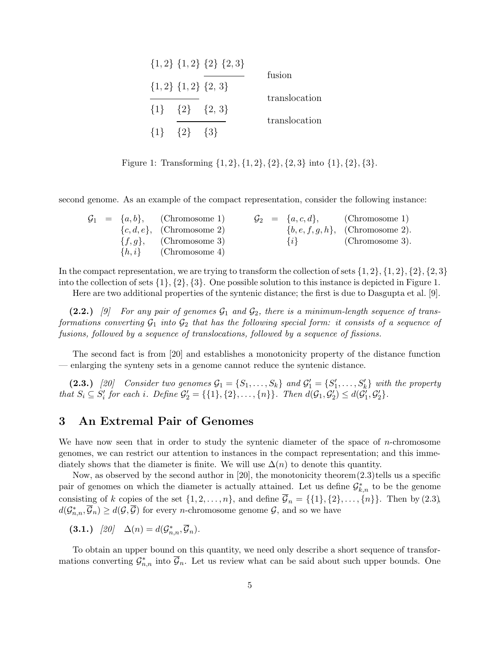|                         | $\{1,2\}$ $\{1,2\}$ $\{2\}$ $\{2,3\}$ | fusion        |
|-------------------------|---------------------------------------|---------------|
|                         | $\{1,2\}$ $\{1,2\}$ $\{2,3\}$         |               |
|                         | $\{1\}$ $\{2\}$ $\{2, 3\}$            | translocation |
| $\{1\}$ $\{2\}$ $\{3\}$ |                                       | translocation |

Figure 1: Transforming  $\{1, 2\}, \{1, 2\}, \{2\}, \{2, 3\}$  into  $\{1\}, \{2\}, \{3\}.$ 

second genome. As an example of the compact representation, consider the following instance:

|  | $\mathcal{G}_1 = \{a, b\},$ (Chromosome 1) |  |         | $\mathcal{G}_2 = \{a, c, d\},$ (Chromosome 1) |
|--|--------------------------------------------|--|---------|-----------------------------------------------|
|  | $\{c, d, e\},$ (Chromosome 2)              |  |         | $\{b,e,f,g,h\},$ (Chromosome 2).              |
|  | $\{f,g\},\qquad$ (Chromosome 3)            |  | $\{i\}$ | (Chromosome 3).                               |
|  | $\{h, i\}$ (Chromosome 4)                  |  |         |                                               |

In the compact representation, we are trying to transform the collection of sets  $\{1, 2\}, \{1, 2\}, \{2, \{2, 3\}$ into the collection of sets  $\{1\}, \{2\}, \{3\}$ . One possible solution to this instance is depicted in Figure 1.

Here are two additional properties of the syntenic distance; the first is due to Dasgupta et al. [9].

(2.2.) [9] For any pair of genomes  $\mathcal{G}_1$  and  $\mathcal{G}_2$ , there is a minimum-length sequence of transformations converting  $G_1$  into  $G_2$  that has the following special form: it consists of a sequence of fusions, followed by a sequence of translocations, followed by a sequence of fissions.

The second fact is from [20] and establishes a monotonicity property of the distance function — enlarging the synteny sets in a genome cannot reduce the syntenic distance.

(2.3.) [20] Consider two genomes  $G_1 = \{S_1, \ldots, S_k\}$  and  $G'_1 = \{S'_1, \ldots, S'_k\}$  with the property that  $S_i \subseteq S'_i$  for each i. Define  $\mathcal{G}'_2 = \{\{1\}, \{2\}, \ldots, \{n\}\}\.$  Then  $d(\mathcal{G}_1, \mathcal{G}'_2) \leq d(\mathcal{G}'_1, \mathcal{G}'_2)\.$ 

# 3 An Extremal Pair of Genomes

We have now seen that in order to study the syntenic diameter of the space of  $n$ -chromosome genomes, we can restrict our attention to instances in the compact representation; and this immediately shows that the diameter is finite. We will use  $\Delta(n)$  to denote this quantity.

Now, as observed by the second author in [20], the monotonicity theorem  $(2.3)$  tells us a specific pair of genomes on which the diameter is actually attained. Let us define  $\mathcal{G}_{k,n}^*$  to be the genome consisting of k copies of the set  $\{1, 2, \ldots, n\}$ , and define  $\overline{\mathcal{G}}_n = \{\{1\}, \{2\}, \ldots, \{n\}\}\.$  Then by  $(2.3)$ ,  $d(\mathcal{G}_{n,n}^*, \overline{\mathcal{G}}_n) \geq d(\mathcal{G}, \overline{\mathcal{G}})$  for every *n*-chromosome genome  $\mathcal{G}$ , and so we have

$$
(3.1.) \quad [20] \quad \Delta(n) = d(\mathcal{G}_{n,n}^*, \overline{\mathcal{G}}_n).
$$

To obtain an upper bound on this quantity, we need only describe a short sequence of transformations converting  $\mathcal{G}_{n,n}^*$  into  $\overline{\mathcal{G}}_n$ . Let us review what can be said about such upper bounds. One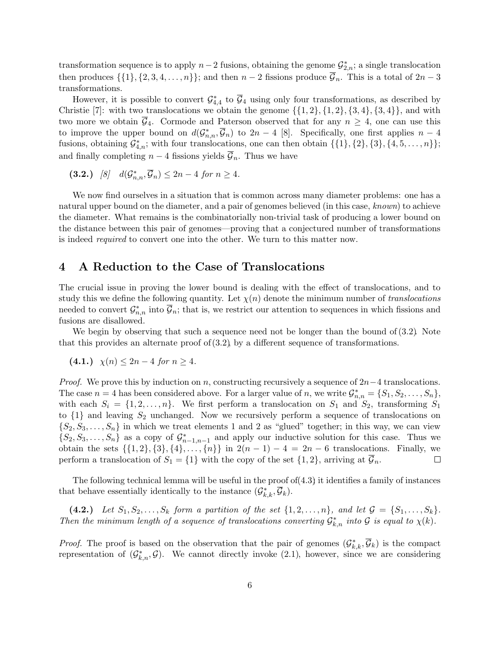transformation sequence is to apply  $n-2$  fusions, obtaining the genome  $\mathcal{G}_{2,n}^*$ ; a single translocation then produces  $\{\{1\}, \{2, 3, 4, \ldots, n\}\}$ ; and then  $n-2$  fissions produce  $\overline{\mathcal{G}}_n$ . This is a total of  $2n-3$ transformations.

However, it is possible to convert  $\mathcal{G}_{4,4}^*$  to  $\overline{\mathcal{G}}_4$  using only four transformations, as described by Christie [7]: with two translocations we obtain the genome  $\{\{1, 2\}, \{1, 2\}, \{3, 4\}, \{3, 4\}\}\$ , and with two more we obtain  $\overline{G}_4$ . Cormode and Paterson observed that for any  $n \geq 4$ , one can use this to improve the upper bound on  $d(G_{n,n}^*, \overline{G}_n)$  to  $2n-4$  [8]. Specifically, one first applies  $n-4$ fusions, obtaining  $\mathcal{G}_{4,n}^*$ ; with four translocations, one can then obtain  $\{\{1\},\{2\},\{3\},\{4,5,\ldots,n\}\};$ and finally completing  $n-4$  fissions yields  $\overline{\mathcal{G}}_n$ . Thus we have

(3.2.) [8]  $d(G_{n,n}^*, \overline{G}_n) \leq 2n - 4$  for  $n \geq 4$ .

We now find ourselves in a situation that is common across many diameter problems: one has a natural upper bound on the diameter, and a pair of genomes believed (in this case, known) to achieve the diameter. What remains is the combinatorially non-trivial task of producing a lower bound on the distance between this pair of genomes—proving that a conjectured number of transformations is indeed required to convert one into the other. We turn to this matter now.

# 4 A Reduction to the Case of Translocations

The crucial issue in proving the lower bound is dealing with the effect of translocations, and to study this we define the following quantity. Let  $\chi(n)$  denote the minimum number of translocations needed to convert  $\mathcal{G}_{n,n}^*$  into  $\overline{\mathcal{G}}_n$ ; that is, we restrict our attention to sequences in which fissions and fusions are disallowed.

We begin by observing that such a sequence need not be longer than the bound of  $(3.2)$ . Note that this provides an alternate proof of  $(3.2)$ , by a different sequence of transformations.

(4.1.) 
$$
\chi(n) \leq 2n - 4
$$
 for  $n \geq 4$ .

*Proof.* We prove this by induction on n, constructing recursively a sequence of  $2n-4$  translocations. The case  $n = 4$  has been considered above. For a larger value of n, we write  $\mathcal{G}_{n,n}^* = \{S_1, S_2, \ldots, S_n\}$ , with each  $S_i = \{1, 2, ..., n\}$ . We first perform a translocation on  $S_1$  and  $S_2$ , transforming  $S_1$ to  $\{1\}$  and leaving  $S_2$  unchanged. Now we recursively perform a sequence of translocations on  $\{S_2, S_3, \ldots, S_n\}$  in which we treat elements 1 and 2 as "glued" together; in this way, we can view  $\{S_2, S_3, \ldots, S_n\}$  as a copy of  $\mathcal{G}_{n-1,n-1}^*$  and apply our inductive solution for this case. Thus we obtain the sets  $\{\{1, 2\}, \{3\}, \{4\}, \ldots, \{n\}\}\$ in  $2(n-1) - 4 = 2n - 6$  translocations. Finally, we perform a translocation of  $S_1 = \{1\}$  with the copy of the set  $\{1, 2\}$ , arriving at  $\mathcal{G}_n$ .  $\Box$ 

The following technical lemma will be useful in the proof of $(4.3)$  it identifies a family of instances that behave essentially identically to the instance  $(\mathcal{G}_{k,k}^*, \overline{\mathcal{G}}_k)$ .

(4.2.) Let  $S_1, S_2, \ldots, S_k$  form a partition of the set  $\{1, 2, \ldots, n\}$ , and let  $\mathcal{G} = \{S_1, \ldots, S_k\}$ . Then the minimum length of a sequence of translocations converting  $\mathcal{G}_{k,n}^*$  into  $\mathcal{G}$  is equal to  $\chi(k)$ .

*Proof.* The proof is based on the observation that the pair of genomes  $(\mathcal{G}_{k,k}^*, \overline{\mathcal{G}}_k)$  is the compact representation of  $(\mathcal{G}_{k,n}^*, \mathcal{G})$ . We cannot directly invoke (2.1), however, since we are considering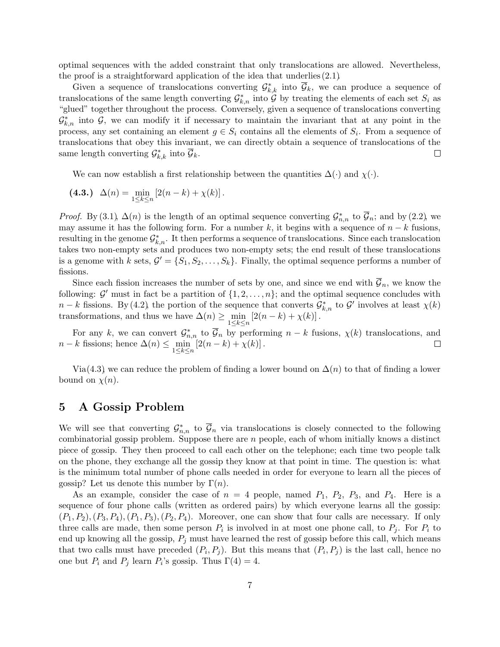optimal sequences with the added constraint that only translocations are allowed. Nevertheless, the proof is a straightforward application of the idea that underlies $(2.1)$ .

Given a sequence of translocations converting  $\mathcal{G}_{k,k}^*$  into  $\overline{\mathcal{G}}_k$ , we can produce a sequence of translocations of the same length converting  $\mathcal{G}_{k,n}^*$  into  $\mathcal G$  by treating the elements of each set  $S_i$  as "glued" together throughout the process. Conversely, given a sequence of translocations converting  $\mathcal{G}_{k,n}^*$  into  $\mathcal{G}$ , we can modify it if necessary to maintain the invariant that at any point in the process, any set containing an element  $g \in S_i$  contains all the elements of  $S_i$ . From a sequence of translocations that obey this invariant, we can directly obtain a sequence of translocations of the same length converting  $\mathcal{G}_{k,k}^*$  into  $\overline{\mathcal{G}}_k$ .  $\Box$ 

We can now establish a first relationship between the quantities  $\Delta(\cdot)$  and  $\chi(\cdot)$ .

(4.3.) 
$$
\Delta(n) = \min_{1 \le k \le n} [2(n-k) + \chi(k)].
$$

*Proof.* By (3.1),  $\Delta(n)$  is the length of an optimal sequence converting  $\mathcal{G}_{n,n}^*$  to  $\overline{\mathcal{G}}_n$ ; and by (2.2), we may assume it has the following form. For a number k, it begins with a sequence of  $n - k$  fusions, resulting in the genome  $\mathcal{G}_{k,n}^*$ . It then performs a sequence of translocations. Since each translocation takes two non-empty sets and produces two non-empty sets; the end result of these translocations is a genome with k sets,  $\mathcal{G}' = \{S_1, S_2, \ldots, S_k\}$ . Finally, the optimal sequence performs a number of fissions.

Since each fission increases the number of sets by one, and since we end with  $\overline{\mathcal{G}}_n$ , we know the following:  $\mathcal{G}'$  must in fact be a partition of  $\{1, 2, \ldots, n\}$ ; and the optimal sequence concludes with  $n-k$  fissions. By (4.2), the portion of the sequence that converts  $\mathcal{G}_{k,n}^*$  to  $\mathcal{G}'$  involves at least  $\chi(k)$ transformations, and thus we have  $\Delta(n) \ge \min_{1 \le k \le n} [2(n-k) + \chi(k)].$ 

For any k, we can convert  $\mathcal{G}_{n,n}^*$  to  $\overline{\mathcal{G}}_n$  by performing  $n-k$  fusions,  $\chi(k)$  translocations, and  $n-k$  fissions; hence  $\Delta(n) \leq \min_{1 \leq k \leq n} [2(n-k) + \chi(k)].$  $\Box$ 

Via(4.3), we can reduce the problem of finding a lower bound on  $\Delta(n)$  to that of finding a lower bound on  $\chi(n)$ .

### 5 A Gossip Problem

We will see that converting  $\mathcal{G}_{n,n}^*$  to  $\overline{\mathcal{G}}_n$  via translocations is closely connected to the following combinatorial gossip problem. Suppose there are n people, each of whom initially knows a distinct piece of gossip. They then proceed to call each other on the telephone; each time two people talk on the phone, they exchange all the gossip they know at that point in time. The question is: what is the minimum total number of phone calls needed in order for everyone to learn all the pieces of gossip? Let us denote this number by  $\Gamma(n)$ .

As an example, consider the case of  $n = 4$  people, named  $P_1$ ,  $P_2$ ,  $P_3$ , and  $P_4$ . Here is a sequence of four phone calls (written as ordered pairs) by which everyone learns all the gossip:  $(P_1, P_2), (P_3, P_4), (P_1, P_3), (P_2, P_4)$ . Moreover, one can show that four calls are necessary. If only three calls are made, then some person  $P_i$  is involved in at most one phone call, to  $P_j$ . For  $P_i$  to end up knowing all the gossip,  $P_j$  must have learned the rest of gossip before this call, which means that two calls must have preceded  $(P_i, P_j)$ . But this means that  $(P_i, P_j)$  is the last call, hence no one but  $P_i$  and  $P_j$  learn  $P_i$ 's gossip. Thus  $\Gamma(4) = 4$ .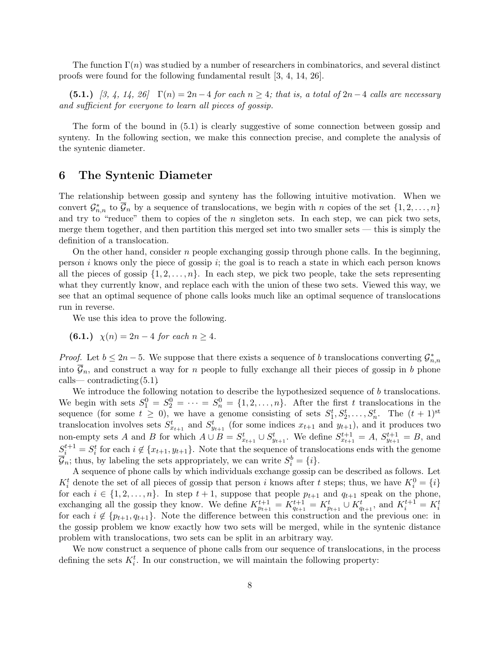The function  $\Gamma(n)$  was studied by a number of researchers in combinatorics, and several distinct proofs were found for the following fundamental result [3, 4, 14, 26].

(5.1.) [3, 4, 14, 26]  $\Gamma(n) = 2n-4$  for each  $n \geq 4$ ; that is, a total of  $2n-4$  calls are necessary and sufficient for everyone to learn all pieces of gossip.

The form of the bound in (5.1) is clearly suggestive of some connection between gossip and synteny. In the following section, we make this connection precise, and complete the analysis of the syntenic diameter.

### 6 The Syntenic Diameter

The relationship between gossip and synteny has the following intuitive motivation. When we convert  $\mathcal{G}_{n,n}^*$  to  $\overline{\mathcal{G}}_n$  by a sequence of translocations, we begin with n copies of the set  $\{1,2,\ldots,n\}$ and try to "reduce" them to copies of the  $n$  singleton sets. In each step, we can pick two sets, merge them together, and then partition this merged set into two smaller sets — this is simply the definition of a translocation.

On the other hand, consider n people exchanging gossip through phone calls. In the beginning, person i knows only the piece of gossip i; the goal is to reach a state in which each person knows all the pieces of gossip  $\{1, 2, \ldots, n\}$ . In each step, we pick two people, take the sets representing what they currently know, and replace each with the union of these two sets. Viewed this way, we see that an optimal sequence of phone calls looks much like an optimal sequence of translocations run in reverse.

We use this idea to prove the following.

**(6.1.)** 
$$
\chi(n) = 2n - 4
$$
 for each  $n \ge 4$ .

*Proof.* Let  $b \leq 2n - 5$ . We suppose that there exists a sequence of b translocations converting  $\mathcal{G}_{n,n}^*$ into  $\mathcal{G}_n$ , and construct a way for n people to fully exchange all their pieces of gossip in b phone calls—contradicting  $(5.1)$ .

We introduce the following notation to describe the hypothesized sequence of b translocations. We begin with sets  $S_1^0 = S_2^0 = \cdots = S_n^0 = \{1, 2, ..., n\}$ . After the first t translocations in the sequence (for some  $t \geq 0$ ), we have a genome consisting of sets  $S_1^t, S_2^t, \ldots, S_n^t$ . The  $(t + 1)$ <sup>st</sup> translocation involves sets  $S_{x_{t+1}}^t$  and  $S_{y_{t+1}}^t$  (for some indices  $x_{t+1}$  and  $y_{t+1}$ ), and it produces two non-empty sets A and B for which  $A \cup B = S_{x_{t+1}}^t \cup S_{y_{t+1}}^t$ . We define  $S_{x_{t+1}}^{t+1} = A$ ,  $S_{y_{t+1}}^{t+1} = B$ , and  $S_i^{t+1} = S_i^t$  for each  $i \notin \{x_{t+1}, y_{t+1}\}.$  Note that the sequence of translocations ends with the genome  $\overline{\mathcal{G}}_n$ ; thus, by labeling the sets appropriately, we can write  $S_i^b = \{i\}.$ 

A sequence of phone calls by which individuals exchange gossip can be described as follows. Let  $K_i^t$  denote the set of all pieces of gossip that person i knows after t steps; thus, we have  $K_i^0 = \{i\}$ for each  $i \in \{1, 2, ..., n\}$ . In step  $t + 1$ , suppose that people  $p_{t+1}$  and  $q_{t+1}$  speak on the phone, exchanging all the gossip they know. We define  $K_{p_{t+1}}^{t+1} = K_{q_{t+1}}^{t+1} = K_{p_{t+1}}^{t} \cup K_{q_{t+1}}^{t}$ , and  $K_i^{t+1} = K_i^{t}$ for each  $i \notin \{p_{t+1}, q_{t+1}\}.$  Note the difference between this construction and the previous one: in the gossip problem we know exactly how two sets will be merged, while in the syntenic distance problem with translocations, two sets can be split in an arbitrary way.

We now construct a sequence of phone calls from our sequence of translocations, in the process defining the sets  $K_i^t$ . In our construction, we will maintain the following property: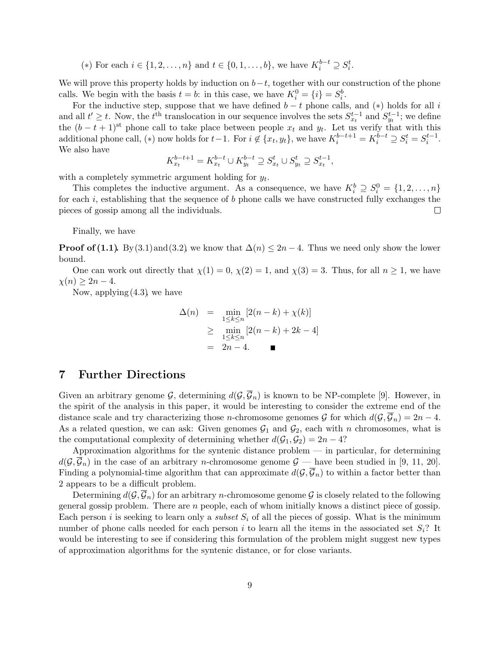(\*) For each  $i \in \{1, 2, ..., n\}$  and  $t \in \{0, 1, ..., b\}$ , we have  $K_i^{b-t} \supseteq S_i^t$ .

We will prove this property holds by induction on  $b-t$ , together with our construction of the phone calls. We begin with the basis  $t = b$ : in this case, we have  $K_i^0 = \{i\} = S_i^b$ .

For the inductive step, suppose that we have defined  $b - t$  phone calls, and  $(*)$  holds for all i and all  $t' \geq t$ . Now, the  $t^{\text{th}}$  translocation in our sequence involves the sets  $S_{x_t}^{t-1}$  and  $S_{y_t}^{t-1}$ ; we define the  $(b - t + 1)$ <sup>st</sup> phone call to take place between people  $x_t$  and  $y_t$ . Let us verify that with this additional phone call, (\*) now holds for  $t-1$ . For  $i \notin \{x_t, y_t\}$ , we have  $K_i^{b-t+1} = K_i^{\tilde{b}-t} \supseteq S_i^t = S_i^{t-1}$ . We also have

$$
K_{x_t}^{b-t+1} = K_{x_t}^{b-t} \cup K_{y_t}^{b-t} \supseteq S_{x_t}^t \cup S_{y_t}^t \supseteq S_{x_t}^{t-1},
$$

with a completely symmetric argument holding for  $y_t$ .

This completes the inductive argument. As a consequence, we have  $K_i^b \supseteq S_i^0 = \{1, 2, ..., n\}$ for each  $i$ , establishing that the sequence of  $b$  phone calls we have constructed fully exchanges the pieces of gossip among all the individuals.  $\Box$ 

Finally, we have

**Proof of (1.1).** By (3.1) and (3.2), we know that  $\Delta(n) \leq 2n - 4$ . Thus we need only show the lower bound.

One can work out directly that  $\chi(1) = 0$ ,  $\chi(2) = 1$ , and  $\chi(3) = 3$ . Thus, for all  $n \ge 1$ , we have  $\chi(n) > 2n - 4.$ 

Now, applying  $(4.3)$ , we have

$$
\Delta(n) = \min_{1 \le k \le n} [2(n-k) + \chi(k)]
$$
  
\n
$$
\ge \min_{1 \le k \le n} [2(n-k) + 2k - 4]
$$
  
\n
$$
= 2n - 4. \blacksquare
$$

# 7 Further Directions

Given an arbitrary genome G, determining  $d(G, \overline{G}_n)$  is known to be NP-complete [9]. However, in the spirit of the analysis in this paper, it would be interesting to consider the extreme end of the distance scale and try characterizing those *n*-chromosome genomes G for which  $d(G, \overline{G}_n) = 2n - 4$ . As a related question, we can ask: Given genomes  $G_1$  and  $G_2$ , each with n chromosomes, what is the computational complexity of determining whether  $d(G_1, G_2) = 2n - 4$ ?

Approximation algorithms for the syntenic distance problem — in particular, for determining  $d(\mathcal{G}, \overline{\mathcal{G}}_n)$  in the case of an arbitrary *n*-chromosome genome  $\mathcal{G}$  — have been studied in [9, 11, 20]. Finding a polynomial-time algorithm that can approximate  $d(G,\overline{G}_n)$  to within a factor better than 2 appears to be a difficult problem.

Determining  $d(G, \overline{G}_n)$  for an arbitrary *n*-chromosome genome G is closely related to the following general gossip problem. There are n people, each of whom initially knows a distinct piece of gossip. Each person i is seeking to learn only a *subset*  $S_i$  of all the pieces of gossip. What is the minimum number of phone calls needed for each person i to learn all the items in the associated set  $S_i$ ? It would be interesting to see if considering this formulation of the problem might suggest new types of approximation algorithms for the syntenic distance, or for close variants.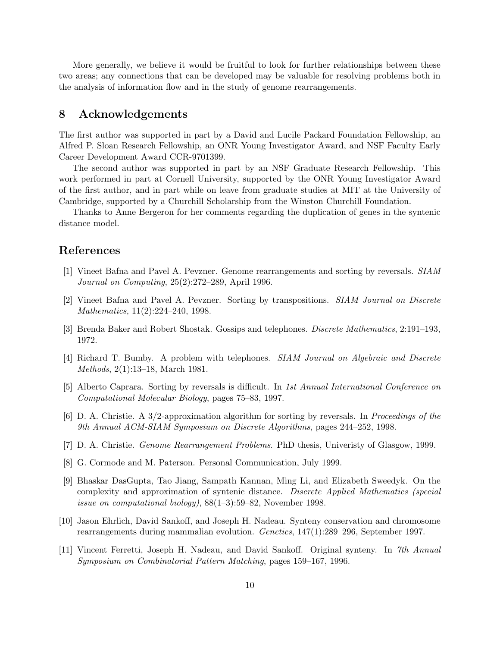More generally, we believe it would be fruitful to look for further relationships between these two areas; any connections that can be developed may be valuable for resolving problems both in the analysis of information flow and in the study of genome rearrangements.

# 8 Acknowledgements

The first author was supported in part by a David and Lucile Packard Foundation Fellowship, an Alfred P. Sloan Research Fellowship, an ONR Young Investigator Award, and NSF Faculty Early Career Development Award CCR-9701399.

The second author was supported in part by an NSF Graduate Research Fellowship. This work performed in part at Cornell University, supported by the ONR Young Investigator Award of the first author, and in part while on leave from graduate studies at MIT at the University of Cambridge, supported by a Churchill Scholarship from the Winston Churchill Foundation.

Thanks to Anne Bergeron for her comments regarding the duplication of genes in the syntenic distance model.

# References

- [1] Vineet Bafna and Pavel A. Pevzner. Genome rearrangements and sorting by reversals. SIAM Journal on Computing, 25(2):272–289, April 1996.
- [2] Vineet Bafna and Pavel A. Pevzner. Sorting by transpositions. SIAM Journal on Discrete Mathematics, 11(2):224–240, 1998.
- [3] Brenda Baker and Robert Shostak. Gossips and telephones. Discrete Mathematics, 2:191–193, 1972.
- [4] Richard T. Bumby. A problem with telephones. SIAM Journal on Algebraic and Discrete Methods, 2(1):13–18, March 1981.
- [5] Alberto Caprara. Sorting by reversals is difficult. In 1st Annual International Conference on Computational Molecular Biology, pages 75–83, 1997.
- [6] D. A. Christie. A 3/2-approximation algorithm for sorting by reversals. In Proceedings of the 9th Annual ACM-SIAM Symposium on Discrete Algorithms, pages 244–252, 1998.
- [7] D. A. Christie. Genome Rearrangement Problems. PhD thesis, Univeristy of Glasgow, 1999.
- [8] G. Cormode and M. Paterson. Personal Communication, July 1999.
- [9] Bhaskar DasGupta, Tao Jiang, Sampath Kannan, Ming Li, and Elizabeth Sweedyk. On the complexity and approximation of syntenic distance. Discrete Applied Mathematics (special issue on computational biology), 88(1–3):59–82, November 1998.
- [10] Jason Ehrlich, David Sankoff, and Joseph H. Nadeau. Synteny conservation and chromosome rearrangements during mammalian evolution. Genetics, 147(1):289–296, September 1997.
- [11] Vincent Ferretti, Joseph H. Nadeau, and David Sankoff. Original synteny. In 7th Annual Symposium on Combinatorial Pattern Matching, pages 159–167, 1996.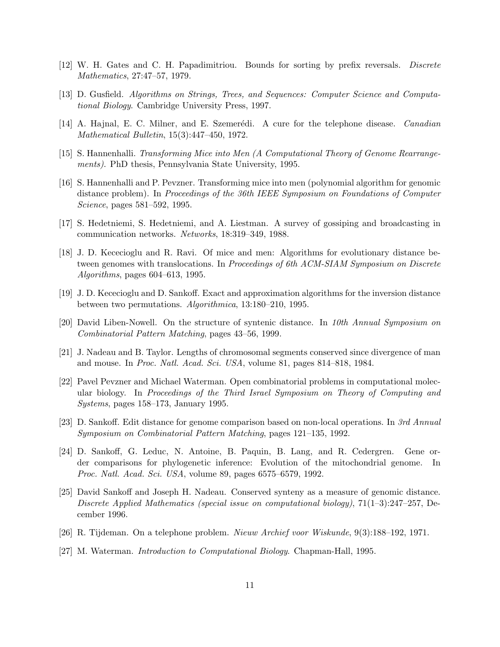- [12] W. H. Gates and C. H. Papadimitriou. Bounds for sorting by prefix reversals. Discrete Mathematics, 27:47–57, 1979.
- [13] D. Gusfield. Algorithms on Strings, Trees, and Sequences: Computer Science and Computational Biology. Cambridge University Press, 1997.
- [14] A. Hajnal, E. C. Milner, and E. Szemerédi. A cure for the telephone disease. *Canadian* Mathematical Bulletin, 15(3):447–450, 1972.
- [15] S. Hannenhalli. Transforming Mice into Men (A Computational Theory of Genome Rearrangements). PhD thesis, Pennsylvania State University, 1995.
- [16] S. Hannenhalli and P. Pevzner. Transforming mice into men (polynomial algorithm for genomic distance problem). In Proceedings of the 36th IEEE Symposium on Foundations of Computer Science, pages 581–592, 1995.
- [17] S. Hedetniemi, S. Hedetniemi, and A. Liestman. A survey of gossiping and broadcasting in communication networks. Networks, 18:319–349, 1988.
- [18] J. D. Kececioglu and R. Ravi. Of mice and men: Algorithms for evolutionary distance between genomes with translocations. In Proceedings of 6th ACM-SIAM Symposium on Discrete Algorithms, pages 604–613, 1995.
- [19] J. D. Kececioglu and D. Sankoff. Exact and approximation algorithms for the inversion distance between two permutations. Algorithmica, 13:180–210, 1995.
- [20] David Liben-Nowell. On the structure of syntenic distance. In 10th Annual Symposium on Combinatorial Pattern Matching, pages 43–56, 1999.
- [21] J. Nadeau and B. Taylor. Lengths of chromosomal segments conserved since divergence of man and mouse. In Proc. Natl. Acad. Sci. USA, volume 81, pages 814–818, 1984.
- [22] Pavel Pevzner and Michael Waterman. Open combinatorial problems in computational molecular biology. In Proceedings of the Third Israel Symposium on Theory of Computing and Systems, pages 158–173, January 1995.
- [23] D. Sankoff. Edit distance for genome comparison based on non-local operations. In 3rd Annual Symposium on Combinatorial Pattern Matching, pages 121–135, 1992.
- [24] D. Sankoff, G. Leduc, N. Antoine, B. Paquin, B. Lang, and R. Cedergren. Gene order comparisons for phylogenetic inference: Evolution of the mitochondrial genome. In Proc. Natl. Acad. Sci. USA, volume 89, pages 6575–6579, 1992.
- [25] David Sankoff and Joseph H. Nadeau. Conserved synteny as a measure of genomic distance. Discrete Applied Mathematics (special issue on computational biology), 71(1–3):247–257, December 1996.
- [26] R. Tijdeman. On a telephone problem. Nieuw Archief voor Wiskunde, 9(3):188–192, 1971.
- [27] M. Waterman. Introduction to Computational Biology. Chapman-Hall, 1995.